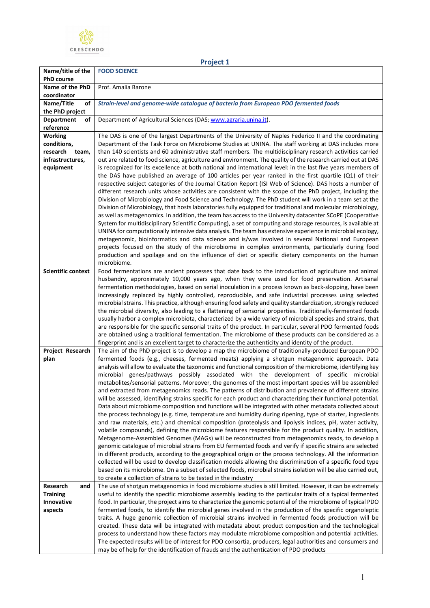

**Project 1 Name/title of the PhD course FOOD SCIENCE Name of the PhD coordinator** Prof. Amalia Barone **Name/Title of the PhD project** *Strain-level and genome-wide catalogue of bacteria from European PDO fermented foods* **Department of reference** Department of Agricultural Sciences (DAS[; www.agraria.unina.it\)](http://www.agraria.unina.it/). **Working conditions, research team, infrastructures, equipment** The DAS is one of the largest Departments of the University of Naples Federico II and the coordinating Department of the Task Force on Microbiome Studies at UNINA. The staff working at DAS includes more than 140 scientists and 60 administrative staff members. The multidisciplinary research activities carried out are related to food science, agriculture and environment. The quality of the research carried out at DAS is recognized for its excellence at both national and international level: in the last five years members of the DAS have published an average of 100 articles per year ranked in the first quartile (Q1) of their respective subject categories of the Journal Citation Report (ISI Web of Science). DAS hosts a number of different research units whose activities are consistent with the scope of the PhD project, including the Division of Microbiology and Food Science and Technology. The PhD student will work in a team set at the Division of Microbiology, that hosts laboratories fully equipped for traditional and molecular microbiology, as well as metagenomics. In addition, the team has access to the University datacenter SCoPE (Cooperative System for multidisciplinary Scientific Computing), a set of computing and storage resources, is available at UNINA for computationally intensive data analysis. The team has extensive experience in microbial ecology, metagenomic, bioinformatics and data science and is/was involved in several National and European projects focused on the study of the microbiome in complex environments, particularly during food production and spoilage and on the influence of diet or specific dietary components on the human microbiome. **Scientific context** Food fermentations are ancient processes that date back to the introduction of agriculture and animal husbandry, approximately 10,000 years ago, when they were used for food preservation. Artisanal fermentation methodologies, based on serial inoculation in a process known as back-slopping, have been increasingly replaced by highly controlled, reproducible, and safe industrial processes using selected microbial strains. This practice, although ensuring food safety and quality standardization, strongly reduced the microbial diversity, also leading to a flattening of sensorial properties. Traditionally-fermented foods usually harbor a complex microbiota, characterized by a wide variety of microbial species and strains, that are responsible for the specific sensorial traits of the product. In particular, several PDO fermented foods are obtained using a traditional fermentation. The microbiome of these products can be considered as a fingerprint and is an excellent target to characterize the authenticity and identity of the product. **Project Research plan**  The aim of the PhD project is to develop a map the microbiome of traditionally-produced European PDO fermented foods (e.g., cheeses, fermented meats) applying a shotgun metagenomic approach. Data analysis will allow to evaluate the taxonomic and functional composition of the microbiome, identifying key microbial genes/pathways possibly associated with the development of specific microbial metabolites/sensorial patterns. Moreover, the genomes of the most important species will be assembled and extracted from metagenomics reads. The patterns of distribution and prevalence of different strains will be assessed, identifying strains specific for each product and characterizing their functional potential. Data about microbiome composition and functions will be integrated with other metadata collected about the process technology (e.g. time, temperature and humidity during ripening, type of starter, ingredients and raw materials, etc.) and chemical composition (proteolysis and lipolysis indices, pH, water activity, volatile compounds), defining the microbiome features responsible for the product quality. In addition, Metagenome-Assembled Genomes (MAGs) will be reconstructed from metagenomics reads, to develop a genomic catalogue of microbial strains from EU fermented foods and verify if specific strains are selected in different products, according to the geographical origin or the process technology. All the information collected will be used to develop classification models allowing the discrimination of a specific food type based on its microbiome. On a subset of selected foods, microbial strains isolation will be also carried out, to create a collection of strains to be tested in the industry **Research and Training Innovative aspects**  The use of shotgun metagenomics in food microbiome studies is still limited. However, it can be extremely useful to identify the specific microbiome assembly leading to the particular traits of a typical fermented food. In particular, the project aims to characterize the genomic potential of the microbiome of typical PDO fermented foods, to identify the microbial genes involved in the production of the specific organoleptic traits. A huge genomic collection of microbial strains involved in fermented foods production will be created. These data will be integrated with metadata about product composition and the technological process to understand how these factors may modulate microbiome composition and potential activities. The expected results will be of interest for PDO consortia, producers, legal authorities and consumers and may be of help for the identification of frauds and the authentication of PDO products